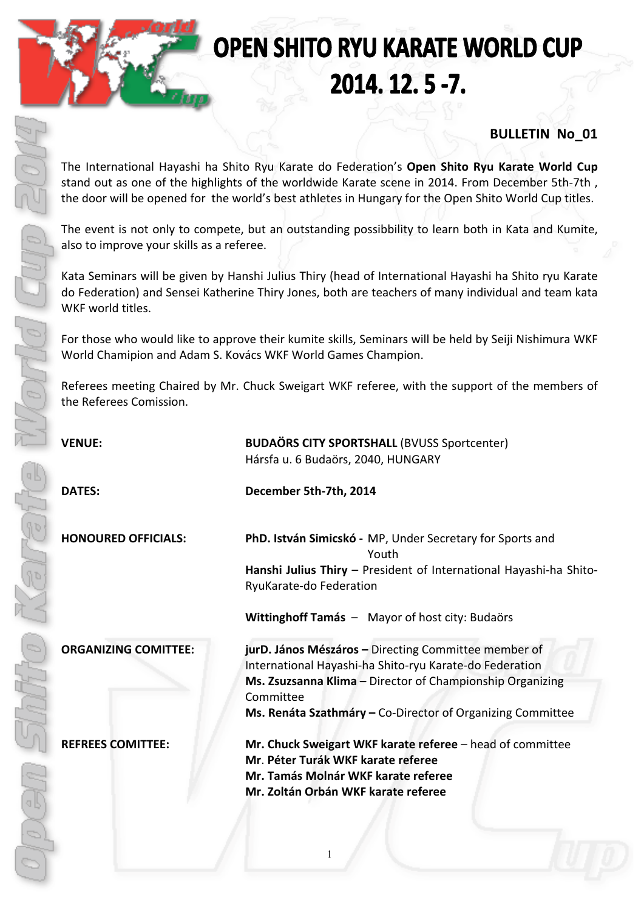# **OPEN SHITO RYU KARATE WORLD CUP** 2014. 12. 5 -7.

## **BULLETIN No\_01**

The International Hayashi ha Shito Ryu Karate do Federation's Open Shito Ryu Karate World Cup stand out as one of the highlights of the worldwide Karate scene in 2014. From December 5th-7th, the door will be opened for the world's best athletes in Hungary for the Open Shito World Cup titles.

The event is not only to compete, but an outstanding possibbility to learn both in Kata and Kumite, also to improve your skills as a referee.

Kata Seminars will be given by Hanshi Julius Thiry (head of International Hayashi ha Shito ryu Karate do Federation) and Sensei Katherine Thiry Jones, both are teachers of many individual and team kata WKF world titles.

For those who would like to approve their kumite skills, Seminars will be held by Seiji Nishimura WKF World Chamipion and Adam S. Kovács WKF World Games Champion.

Referees meeting Chaired by Mr. Chuck Sweigart WKF referee, with the support of the members of the Referees Comission.

| <b>VENUE:</b>               | <b>BUDAÖRS CITY SPORTSHALL (BVUSS Sportcenter)</b><br>Hársfa u. 6 Budaörs, 2040, HUNGARY                                                                                                                                                                |  |  |  |
|-----------------------------|---------------------------------------------------------------------------------------------------------------------------------------------------------------------------------------------------------------------------------------------------------|--|--|--|
| <b>DATES:</b>               | December 5th-7th, 2014                                                                                                                                                                                                                                  |  |  |  |
| <b>HONOURED OFFICIALS:</b>  | PhD. István Simicskó - MP, Under Secretary for Sports and<br>Youth<br>Hanshi Julius Thiry - President of International Hayashi-ha Shito-<br>RyuKarate-do Federation<br>Wittinghoff Tamás - Mayor of host city: Budaörs                                  |  |  |  |
| <b>ORGANIZING COMITTEE:</b> | jurD. János Mészáros - Directing Committee member of<br>International Hayashi-ha Shito-ryu Karate-do Federation<br>Ms. Zsuzsanna Klima - Director of Championship Organizing<br>Committee<br>Ms. Renáta Szathmáry - Co-Director of Organizing Committee |  |  |  |
| <b>REFREES COMITTEE:</b>    | Mr. Chuck Sweigart WKF karate referee - head of committee<br>Mr. Péter Turák WKF karate referee<br>Mr. Tamás Molnár WKF karate referee<br>Mr. Zoltán Orbán WKF karate referee                                                                           |  |  |  |

1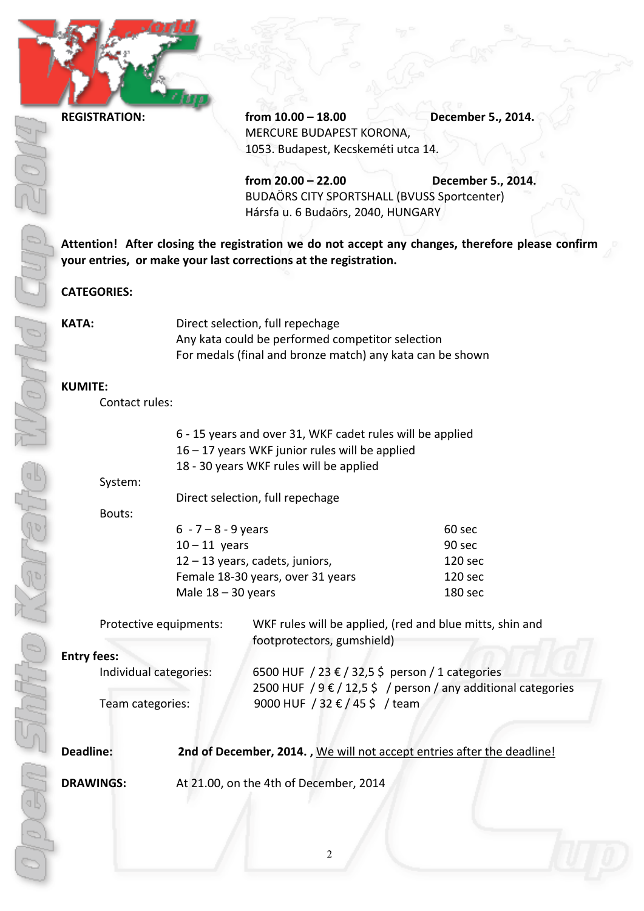Nov

**REGISTRATION: from 10.00 – 18.00 December 5., 2014.** MERCURE BUDAPEST KORONA, 1053. Budapest, Kecskeméti utca 14.

> **from 20.00 – 22.00 December 5., 2014.** BUDAÖRS CITY SPORTSHALL (BVUSS Sportcenter) Hársfa u. 6 Budaörs, 2040, HUNGARY

Attention! After closing the registration we do not accept any changes, therefore please confirm **your entries, or make your last corrections at the registration.** 

#### **CATEGORIES:**

| KATA: | Direct selection, full repechage                          |
|-------|-----------------------------------------------------------|
|       | Any kata could be performed competitor selection          |
|       | For medals (final and bronze match) any kata can be shown |

#### **KUMITE:**

Contact rules:

| 6 - 15 years and over 31, WKF cadet rules will be applied |         |
|-----------------------------------------------------------|---------|
| $16 - 17$ years WKF junior rules will be applied          |         |
| 18 - 30 years WKF rules will be applied                   |         |
| System:                                                   |         |
| Direct selection, full repechage                          |         |
| Bouts:                                                    |         |
| $6 - 7 - 8 - 9$ years<br>60 sec                           |         |
| $10 - 11$ years<br>90 sec                                 |         |
| 12 - 13 years, cadets, juniors,                           | 120 sec |
| Female 18-30 years, over 31 years                         | 120 sec |

Male  $18 - 30$  years 200 180 sec

Protective equipments: WKF rules will be applied, (red and blue mitts, shin and footprotectors, gumshield)

#### **Entry fees:**

Individual categories: 6500 HUF / 23  $\epsilon$  / 32,5 \$ person / 1 categories 2500 HUF  $/9 \in /12,5 \in /$  person / any additional categories Team categories:  $9000$  HUF  $/32 \notin /45$ \$ / team

**Deadline: 2nd of December, 2014.** , We will not accept entries after the deadline!

**DRAWINGS:** At 21.00, on the 4th of December, 2014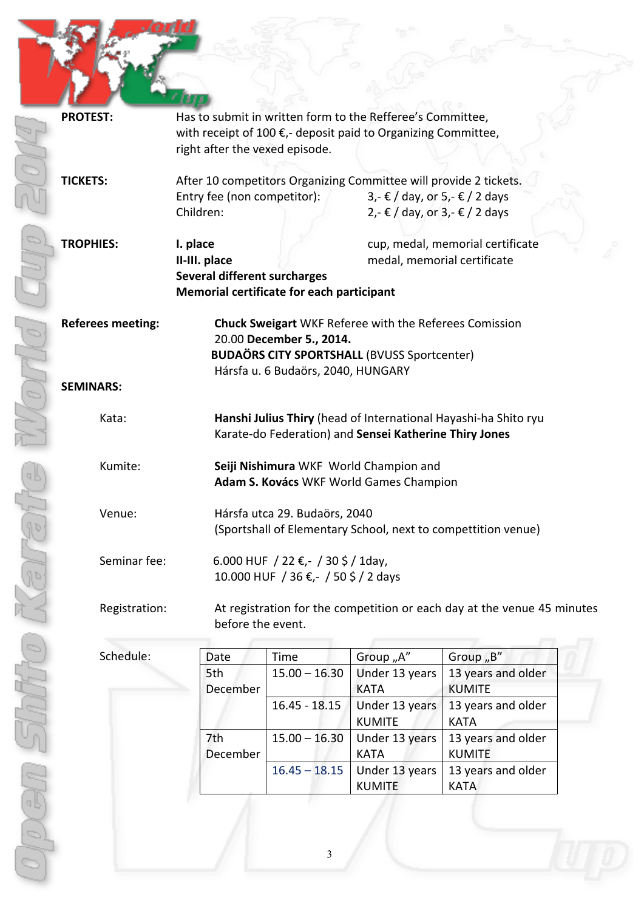| <b>PROTEST:</b>          | Has to submit in written form to the Refferee's Committee,<br>with receipt of 100 €,- deposit paid to Organizing Committee,<br>right after the vexed episode.                                 |                                                                              |                                                                                                                                          |                                                                         |  |  |
|--------------------------|-----------------------------------------------------------------------------------------------------------------------------------------------------------------------------------------------|------------------------------------------------------------------------------|------------------------------------------------------------------------------------------------------------------------------------------|-------------------------------------------------------------------------|--|--|
| <b>TICKETS:</b>          | Entry fee (non competitor):<br>Children:                                                                                                                                                      |                                                                              | After 10 competitors Organizing Committee will provide 2 tickets.<br>$3,$ - € / day, or 5,- € / 2 days<br>2,- € / day, or 3,- € / 2 days |                                                                         |  |  |
| <b>TROPHIES:</b>         | I. place<br>II-III. place<br>Several different surcharges<br>Memorial certificate for each participant                                                                                        |                                                                              | medal, memorial certificate                                                                                                              | cup, medal, memorial certificate                                        |  |  |
| <b>Referees meeting:</b> |                                                                                                                                                                                               | 20.00 December 5., 2014.<br>Hársfa u. 6 Budaörs, 2040, HUNGARY               | <b>Chuck Sweigart</b> WKF Referee with the Referees Comission<br><b>BUDAÖRS CITY SPORTSHALL (BVUSS Sportcenter)</b>                      |                                                                         |  |  |
| <b>SEMINARS:</b>         |                                                                                                                                                                                               |                                                                              |                                                                                                                                          |                                                                         |  |  |
| Kata:                    |                                                                                                                                                                                               |                                                                              | Karate-do Federation) and Sensei Katherine Thiry Jones                                                                                   | Hanshi Julius Thiry (head of International Hayashi-ha Shito ryu         |  |  |
| Kumite:                  | Seiji Nishimura WKF World Champion and<br>Adam S. Kovács WKF World Games Champion<br>Venue:<br>Hársfa utca 29. Budaörs, 2040<br>(Sportshall of Elementary School, next to compettition venue) |                                                                              |                                                                                                                                          |                                                                         |  |  |
|                          |                                                                                                                                                                                               |                                                                              |                                                                                                                                          |                                                                         |  |  |
| Seminar fee:             |                                                                                                                                                                                               | 6.000 HUF / 22 €, - / 30 \$ / 1day,<br>10.000 HUF / 36 €, - / 50 \$ / 2 days |                                                                                                                                          |                                                                         |  |  |
| Registration:            | before the event.                                                                                                                                                                             |                                                                              |                                                                                                                                          | At registration for the competition or each day at the venue 45 minutes |  |  |
| Schedule:                | Date                                                                                                                                                                                          | Time                                                                         | Group "A"                                                                                                                                | Group "B"                                                               |  |  |
|                          | 5th<br>December                                                                                                                                                                               | $15.00 - 16.30$                                                              | Under 13 years<br><b>KATA</b>                                                                                                            | 13 years and older<br><b>KUMITE</b>                                     |  |  |
|                          |                                                                                                                                                                                               | $16.45 - 18.15$                                                              | Under 13 years<br><b>KUMITE</b>                                                                                                          | 13 years and older<br><b>KATA</b>                                       |  |  |
|                          | 7th<br>December                                                                                                                                                                               | $15.00 - 16.30$                                                              | Under 13 years<br><b>KATA</b>                                                                                                            | 13 years and older<br><b>KUMITE</b>                                     |  |  |
|                          |                                                                                                                                                                                               | $16.45 - 18.15$                                                              | Under 13 years<br><b>KUMITE</b>                                                                                                          | 13 years and older<br><b>KATA</b>                                       |  |  |
|                          |                                                                                                                                                                                               |                                                                              |                                                                                                                                          |                                                                         |  |  |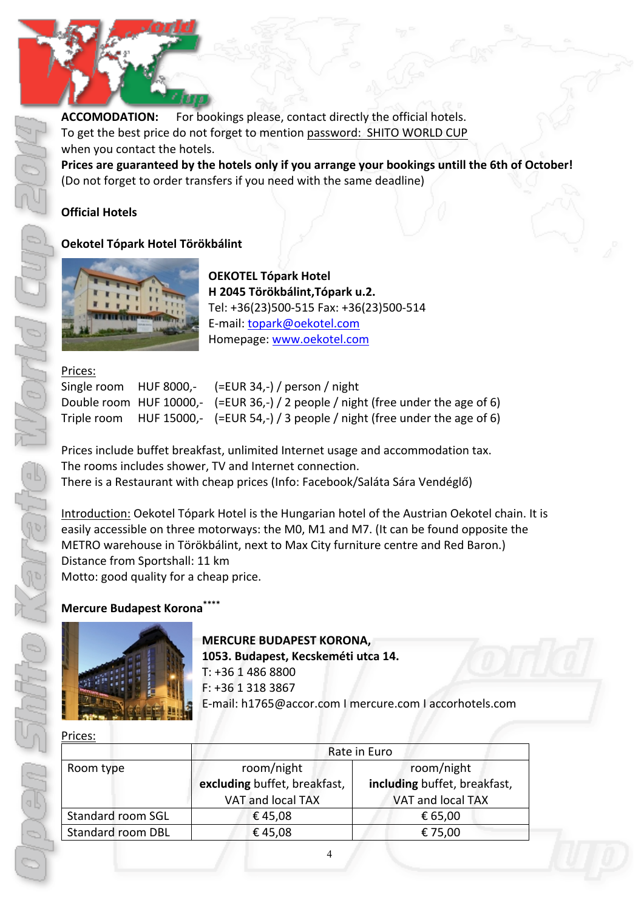### **ACCOMODATION:** For bookings please, contact directly the official hotels. To get the best price do not forget to mention password: SHITO WORLD CUP when you contact the hotels. Prices are guaranteed by the hotels only if you arrange your bookings untill the 6th of October!

(Do not forget to order transfers if you need with the same deadline)

#### **Official Hotels**

#### **Oekotel Tópark Hotel Törökbálint**



**OEKOTEL Tópark Hotel H 2045 Törökbálint,Tópark u.2.** Tel: +36(23)500-515 Fax: +36(23)500-514 E-mail: topark@oekotel.com Homepage: www.oekotel.com

#### Prices:

|  | Single room HUF 8000,- $(=EUR 34, -)$ / person / night                              |
|--|-------------------------------------------------------------------------------------|
|  | Double room HUF 10000,- $(=EUR 36, -)$ / 2 people / night (free under the age of 6) |
|  | Triple room HUF 15000,- $(=EUR 54, -)$ / 3 people / night (free under the age of 6) |

Prices include buffet breakfast, unlimited Internet usage and accommodation tax. The rooms includes shower, TV and Internet connection. There is a Restaurant with cheap prices (Info: Facebook/Saláta Sára Vendéglő)

Introduction: Oekotel Tópark Hotel is the Hungarian hotel of the Austrian Oekotel chain. It is easily accessible on three motorways: the M0, M1 and M7. (It can be found opposite the METRO warehouse in Törökbálint, next to Max City furniture centre and Red Baron.) Distance from Sportshall: 11 km Motto: good quality for a cheap price.

#### **Mercure Budapest Korona\*\***



**MERCURE BUDAPEST KORONA,** 

1053. Budapest, Kecskeméti utca 14.

 $T: +3614868800$  $F: +3613183867$ E-mail: h1765@accor.com Ι mercure.com Ι accorhotels.com 

Prices:

|                          | Rate in Euro                 |                              |  |  |  |
|--------------------------|------------------------------|------------------------------|--|--|--|
| Room type                | room/night                   | room/night                   |  |  |  |
|                          | excluding buffet, breakfast, | including buffet, breakfast, |  |  |  |
|                          | VAT and local TAX            | VAT and local TAX            |  |  |  |
| <b>Standard room SGL</b> | €45,08                       | € 65,00                      |  |  |  |
| <b>Standard room DBL</b> | €45,08                       | € 75,00                      |  |  |  |
|                          |                              |                              |  |  |  |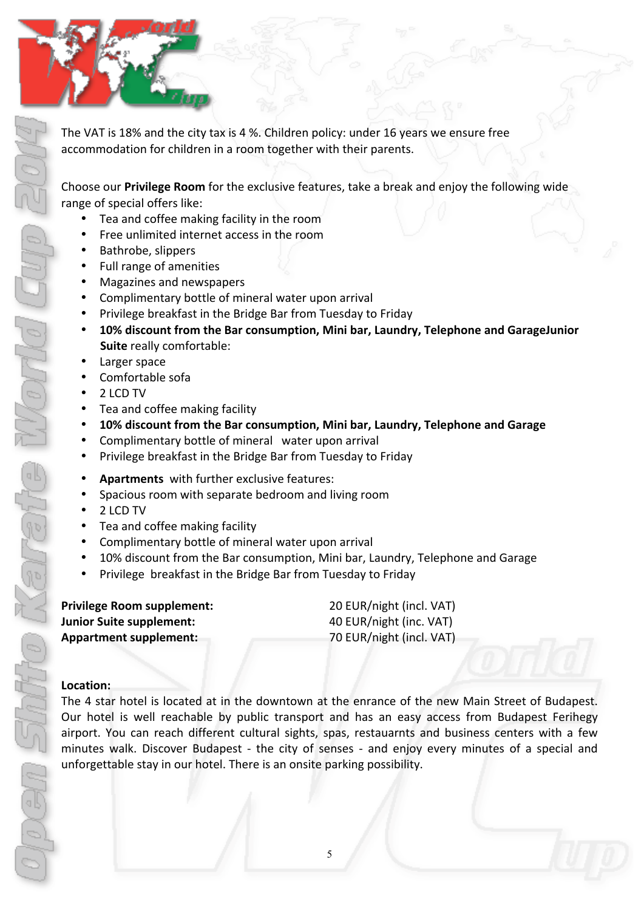The VAT is 18% and the city tax is 4 %. Children policy: under 16 years we ensure free accommodation for children in a room together with their parents.

Choose our **Privilege Room** for the exclusive features, take a break and enjoy the following wide range of special offers like:

- Tea and coffee making facility in the room
- Free unlimited internet access in the room
- Bathrobe, slippers

*<u><b>*</u>

- Full range of amenities
- Magazines and newspapers
- Complimentary bottle of mineral water upon arrival
- Privilege breakfast in the Bridge Bar from Tuesday to Friday
- 10% discount from the Bar consumption, Mini bar, Laundry, Telephone and GarageJunior **Suite** really comfortable:
- Larger space
- Comfortable sofa
- 2 LCD TV
- Tea and coffee making facility
- 10% discount from the Bar consumption, Mini bar, Laundry, Telephone and Garage
- Complimentary bottle of mineral water upon arrival
- Privilege breakfast in the Bridge Bar from Tuesday to Friday
- Apartments with further exclusive features:
- Spacious room with separate bedroom and living room
- 2 LCD TV
- Tea and coffee making facility
- Complimentary bottle of mineral water upon arrival
- 10% discount from the Bar consumption, Mini bar, Laundry, Telephone and Garage
- Privilege breakfast in the Bridge Bar from Tuesday to Friday

| <b>Privilege Room supplement:</b> |  |
|-----------------------------------|--|
| <b>Junior Suite supplement:</b>   |  |
| <b>Appartment supplement:</b>     |  |

**20 EUR/night (incl. VAT) 40 EUR/night (inc. VAT) 70 EUR/night (incl. VAT)** 

#### **Location:**

The 4 star hotel is located at in the downtown at the enrance of the new Main Street of Budapest. Our hotel is well reachable by public transport and has an easy access from Budapest Ferihegy airport. You can reach different cultural sights, spas, restauarnts and business centers with a few minutes walk. Discover Budapest - the city of senses - and enjoy every minutes of a special and unforgettable stay in our hotel. There is an onsite parking possibility.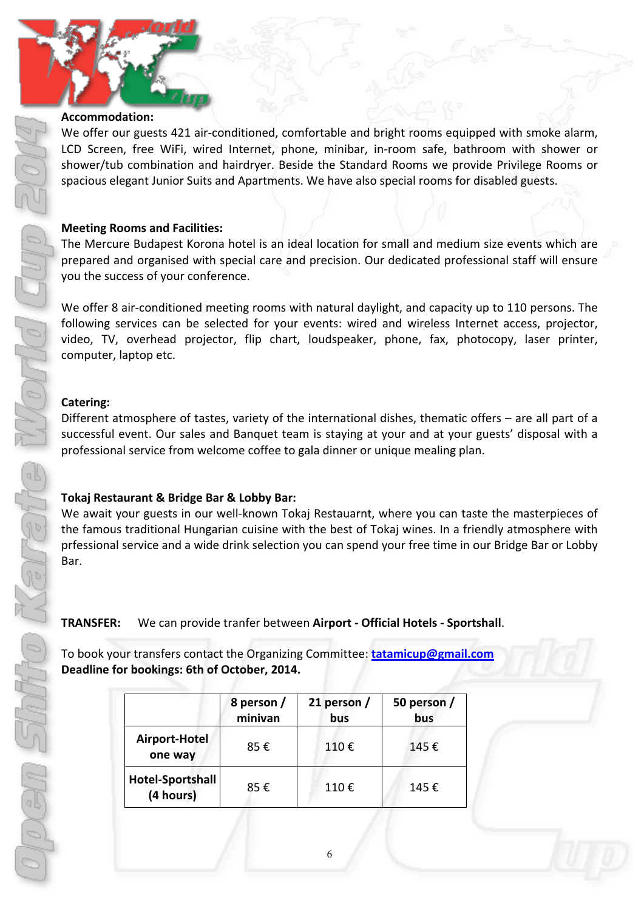#### **Accommodation:**

We offer our guests 421 air-conditioned, comfortable and bright rooms equipped with smoke alarm, LCD Screen, free WiFi, wired Internet, phone, minibar, in-room safe, bathroom with shower or shower/tub combination and hairdryer. Beside the Standard Rooms we provide Privilege Rooms or spacious elegant Junior Suits and Apartments. We have also special rooms for disabled guests.

#### **Meeting Rooms and Facilities:**

The Mercure Budapest Korona hotel is an ideal location for small and medium size events which are prepared and organised with special care and precision. Our dedicated professional staff will ensure you the success of your conference.

We offer 8 air-conditioned meeting rooms with natural daylight, and capacity up to 110 persons. The following services can be selected for your events: wired and wireless Internet access, projector, video, TV, overhead projector, flip chart, loudspeaker, phone, fax, photocopy, laser printer, computer, laptop etc.

#### **Catering:**

Different atmosphere of tastes, variety of the international dishes, thematic offers – are all part of a successful event. Our sales and Banquet team is staying at your and at your guests' disposal with a professional service from welcome coffee to gala dinner or unique mealing plan.

#### **Tokaj Restaurant & Bridge Bar & Lobby Bar:**

We await your guests in our well-known Tokaj Restauarnt, where you can taste the masterpieces of the famous traditional Hungarian cuisine with the best of Tokaj wines. In a friendly atmosphere with prfessional service and a wide drink selection you can spend your free time in our Bridge Bar or Lobby Bar.

### **TRANSFER:** We can provide tranfer between **Airport - Official Hotels - Sportshall.**

To book your transfers contact the Organizing Committee: **tatamicup@gmail.com** Deadline for bookings: 6th of October, 2014.

|                                      | 8 person /<br>minivan | 21 person $/$<br>bus | 50 person /<br>bus |  |
|--------------------------------------|-----------------------|----------------------|--------------------|--|
| Airport-Hotel<br>one way             | 85€                   | 110€                 | 145€               |  |
| <b>Hotel-Sportshall</b><br>(4 hours) | 85€                   | 110€                 | 145€               |  |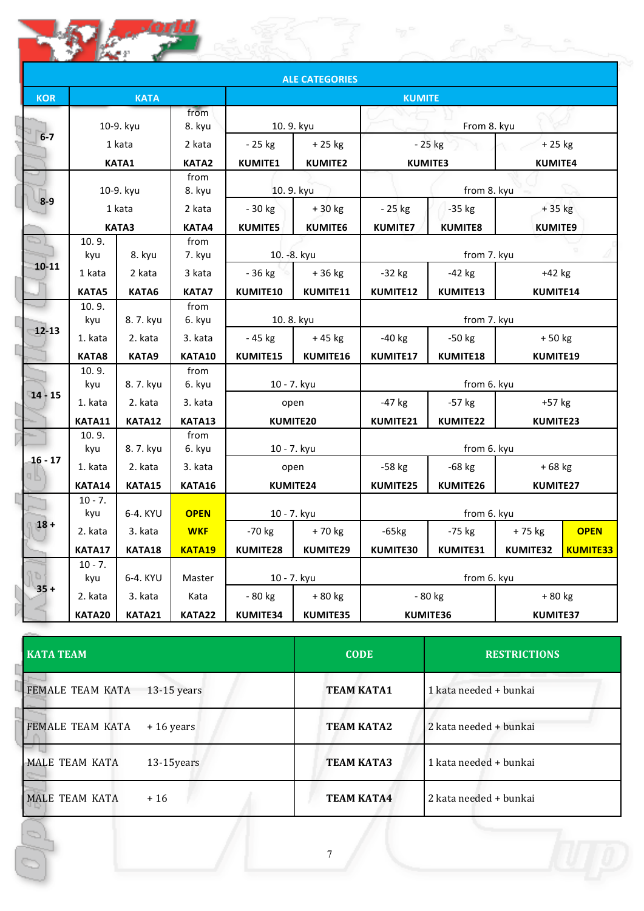|            |                  |                        |                        |                            | <b>ALE CATEGORIES</b>      |                           |                            |                            |                 |
|------------|------------------|------------------------|------------------------|----------------------------|----------------------------|---------------------------|----------------------------|----------------------------|-----------------|
| <b>KOR</b> |                  | <b>KATA</b>            |                        |                            |                            | <b>KUMITE</b>             |                            |                            |                 |
|            |                  | 10-9. kyu              | from<br>8. kyu         | 10.9. kyu                  |                            | From 8. kyu               |                            |                            |                 |
| $6 - 7$    |                  | 1 kata<br><b>KATA1</b> | 2 kata<br><b>KATA2</b> | $-25$ kg<br><b>KUMITE1</b> | $+25$ kg<br><b>KUMITE2</b> |                           | - 25 kg<br><b>KUMITE3</b>  | $+25$ kg<br><b>KUMITE4</b> |                 |
|            |                  | 10-9. kyu              | from<br>8. kyu         | 10.9. kyu                  |                            |                           | from 8. kyu                |                            |                 |
| $8 - 9$    |                  | 1 kata<br><b>KATA3</b> | 2 kata<br>KATA4        | $-30$ kg<br><b>KUMITE5</b> | +30 kg<br><b>KUMITE6</b>   | - 25 kg<br><b>KUMITE7</b> | $-35$ kg<br><b>KUMITE8</b> | + 35 kg<br><b>KUMITE9</b>  |                 |
|            | 10.9.<br>kyu     | 8. kyu                 | from<br>7. kyu         | 10. - 8. kyu               |                            |                           | from 7. kyu                |                            |                 |
| 10-11      | 1 kata           | 2 kata                 | 3 kata                 | $-36$ kg                   | +36 kg                     | $-32$ kg                  | $-42$ kg                   | +42 kg                     |                 |
|            | <b>KATA5</b>     | KATA6                  | <b>KATA7</b>           | KUMITE10                   | KUMITE11                   | KUMITE12                  | KUMITE13                   | KUMITE14                   |                 |
|            | 10.9.<br>kyu     | 8.7. kyu               | from<br>6. kyu         | 10.8. kyu                  |                            | from 7. kyu               |                            |                            |                 |
| $12 - 13$  | 1. kata          | 2. kata                | 3. kata                | $-45$ kg                   | +45 kg                     | $-40$ kg                  | $-50$ kg                   | $+50$ kg                   |                 |
|            | KATA8            | KATA9                  | <b>KATA10</b>          | KUMITE15                   | KUMITE16                   | KUMITE17                  | KUMITE18                   | KUMITE19                   |                 |
|            | 10.9.<br>kyu     | 8.7. kyu               | from<br>6. kyu         | 10 - 7. kyu                |                            |                           | from 6. kyu                |                            |                 |
| $14 - 15$  | 1. kata          | 2. kata                | 3. kata                | open                       |                            | $-47$ kg                  | $-57$ kg                   | +57 kg                     |                 |
|            | KATA11           | KATA12                 | KATA13                 | KUMITE20                   |                            | KUMITE21                  | KUMITE22                   | KUMITE23                   |                 |
|            | 10.9.<br>kyu     | 8.7. kyu               | from<br>6. kyu         | 10 - 7. kyu                |                            |                           | from 6. kyu                |                            |                 |
| $16 - 17$  | 1. kata          | 2. kata                | 3. kata                | open                       |                            | $-58$ kg                  | $-68$ kg                   | $+68$ kg                   |                 |
|            | KATA14           | KATA15                 | <b>KATA16</b>          | KUMITE24                   |                            | KUMITE25                  | KUMITE26                   | KUMITE27                   |                 |
|            | $10 - 7.$<br>kyu | 6-4. KYU               | <b>OPEN</b>            | 10 - 7. kyu                |                            |                           | from 6. kyu                |                            |                 |
| $18 +$     | 2. kata          | 3. kata                | <b>WKF</b>             | $-70$ kg                   | $+70$ kg                   | $-65kg$                   | -75 kg                     | +75 kg                     | <b>OPEN</b>     |
|            | KATA17           | KATA18                 | KATA19                 | KUMITE28                   | KUMITE29                   | KUMITE30                  | KUMITE31                   | KUMITE32                   | <b>KUMITE33</b> |
|            | $10 - 7.$<br>kyu | 6-4. KYU               | Master                 | 10 - 7. kyu                |                            |                           | from 6. kyu                |                            |                 |
| $35 +$     | 2. kata          | 3. kata                | Kata                   | $-80$ kg                   | + 80 kg                    |                           | - 80 kg                    | + 80 kg                    |                 |
|            | KATA20           | KATA21                 | KATA22                 | KUMITE34                   | KUMITE35                   |                           | KUMITE36                   | KUMITE37                   |                 |

| <b>KATA TEAM</b> |               | <b>CODE</b>       | <b>RESTRICTIONS</b>    |
|------------------|---------------|-------------------|------------------------|
| FEMALE TEAM KATA | $13-15$ years | <b>TEAM KATA1</b> | 1 kata needed + bunkai |
| FEMALE TEAM KATA | $+16$ years   | <b>TEAM KATA2</b> | 2 kata needed + bunkai |
| MALE TEAM KATA   | 13-15years    | <b>TEAM KATA3</b> | 1 kata needed + bunkai |
| MALE TEAM KATA   | $+16$         | <b>TEAM KATA4</b> | 2 kata needed + bunkai |
| Ó                |               | 7                 |                        |
|                  |               |                   |                        |

 $\frac{\partial}{\partial \rho}$